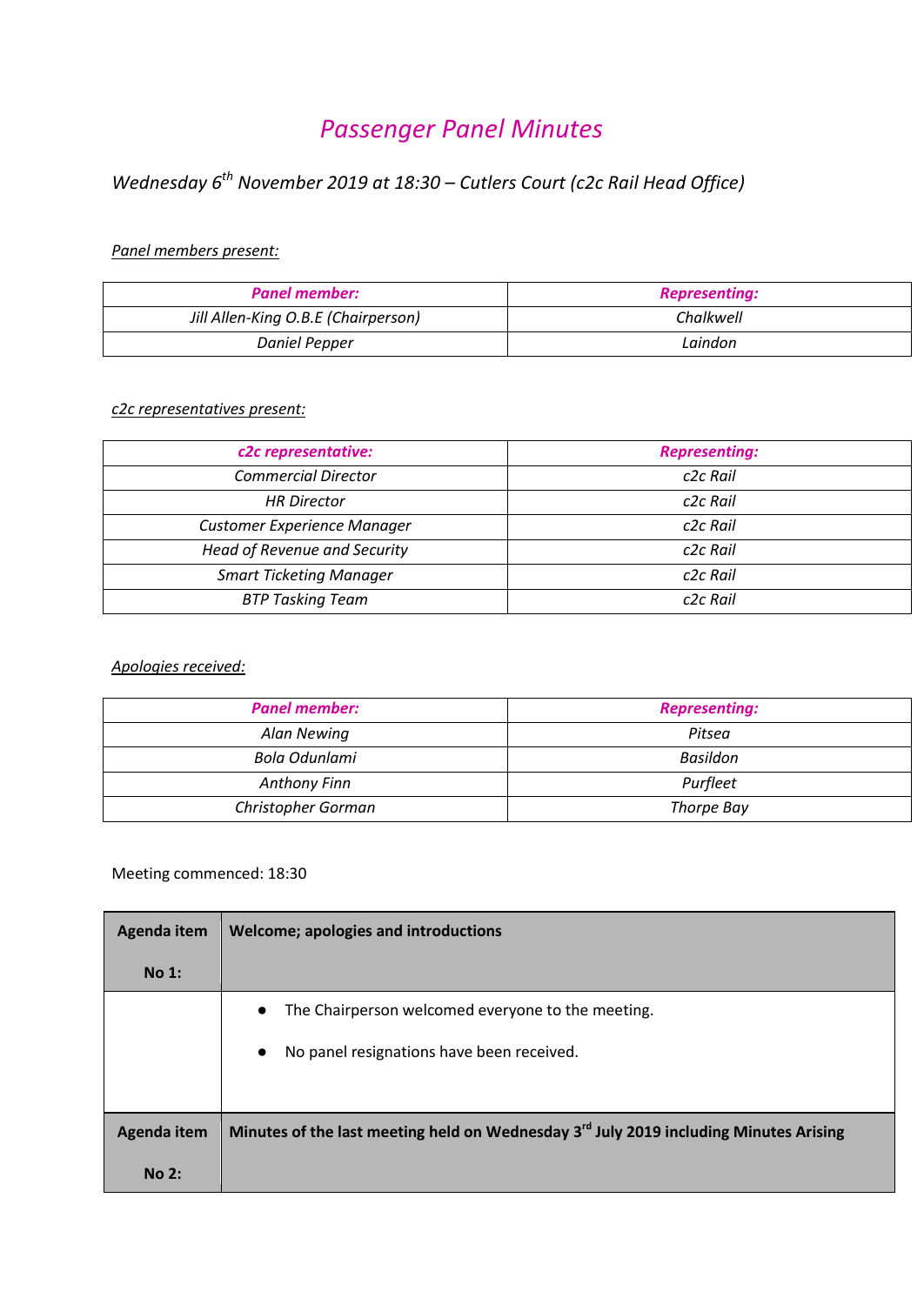# *Passenger Panel Minutes*

## *Wednesday 6th November 2019 at 18:30 – Cutlers Court (c2c Rail Head Office)*

#### *Panel members present:*

| <b>Panel member:</b>                | <b>Representing:</b> |
|-------------------------------------|----------------------|
| Jill Allen-King O.B.E (Chairperson) | Chalkwell            |
| Daniel Pepper                       | Laindon              |

#### *c2c representatives present:*

| c2c representative:                | <b>Representing:</b> |
|------------------------------------|----------------------|
| <b>Commercial Director</b>         | c <sub>2c</sub> Rail |
| <b>HR Director</b>                 | c <sub>2c</sub> Rail |
| <b>Customer Experience Manager</b> | c <sub>2c</sub> Rail |
| Head of Revenue and Security       | c <sub>2c</sub> Rail |
| <b>Smart Ticketing Manager</b>     | c <sub>2c</sub> Rail |
| <b>BTP Tasking Team</b>            | c <sub>2c</sub> Rail |

#### *Apologies received:*

| <b>Panel member:</b> | <b>Representing:</b> |
|----------------------|----------------------|
| Alan Newing          | Pitsea               |
| Bola Odunlami        | Basildon             |
| <b>Anthony Finn</b>  | Purfleet             |
| Christopher Gorman   | Thorpe Bay           |

### Meeting commenced: 18:30

| Agenda item | Welcome; apologies and introductions                                                              |
|-------------|---------------------------------------------------------------------------------------------------|
| No 1:       |                                                                                                   |
|             | The Chairperson welcomed everyone to the meeting.<br>$\bullet$                                    |
|             | No panel resignations have been received.<br>$\bullet$                                            |
|             |                                                                                                   |
| Agenda item | Minutes of the last meeting held on Wednesday 3 <sup>rd</sup> July 2019 including Minutes Arising |
| No 2:       |                                                                                                   |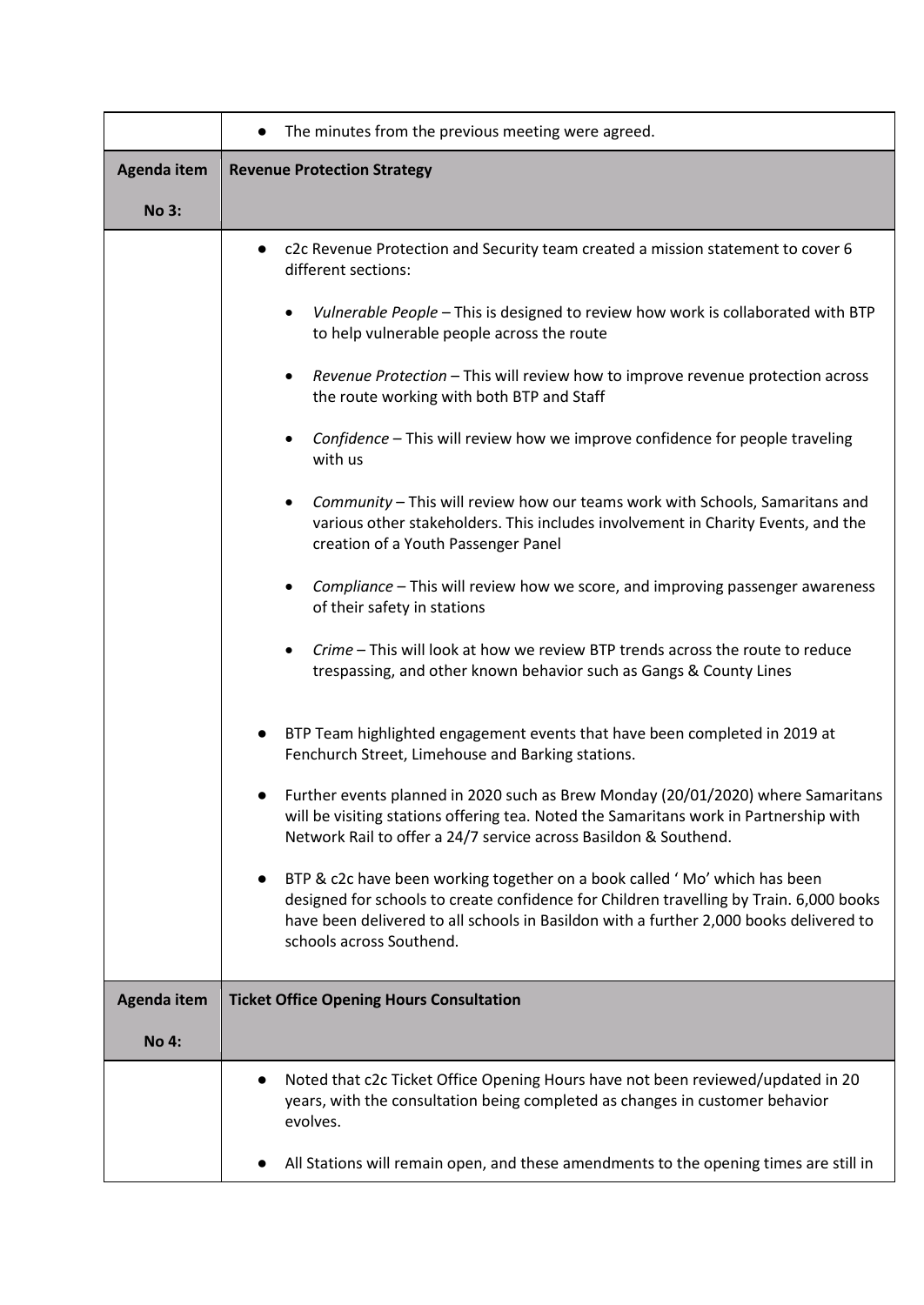|                    | The minutes from the previous meeting were agreed.                                                                                                                                                                                                                                                                                                                                                                                                                                                                                                                                                                                                                                                                                                                                                                                                                                                                                                                                                                                                                                                                               |
|--------------------|----------------------------------------------------------------------------------------------------------------------------------------------------------------------------------------------------------------------------------------------------------------------------------------------------------------------------------------------------------------------------------------------------------------------------------------------------------------------------------------------------------------------------------------------------------------------------------------------------------------------------------------------------------------------------------------------------------------------------------------------------------------------------------------------------------------------------------------------------------------------------------------------------------------------------------------------------------------------------------------------------------------------------------------------------------------------------------------------------------------------------------|
| <b>Agenda item</b> | <b>Revenue Protection Strategy</b>                                                                                                                                                                                                                                                                                                                                                                                                                                                                                                                                                                                                                                                                                                                                                                                                                                                                                                                                                                                                                                                                                               |
| <b>No 3:</b>       |                                                                                                                                                                                                                                                                                                                                                                                                                                                                                                                                                                                                                                                                                                                                                                                                                                                                                                                                                                                                                                                                                                                                  |
|                    | c2c Revenue Protection and Security team created a mission statement to cover 6<br>different sections:<br>Vulnerable People - This is designed to review how work is collaborated with BTP<br>٠<br>to help vulnerable people across the route<br>Revenue Protection - This will review how to improve revenue protection across<br>٠<br>the route working with both BTP and Staff<br>Confidence - This will review how we improve confidence for people traveling<br>$\bullet$<br>with us<br>Community - This will review how our teams work with Schools, Samaritans and<br>٠<br>various other stakeholders. This includes involvement in Charity Events, and the<br>creation of a Youth Passenger Panel<br>Compliance – This will review how we score, and improving passenger awareness<br>$\bullet$<br>of their safety in stations<br>Crime - This will look at how we review BTP trends across the route to reduce<br>trespassing, and other known behavior such as Gangs & County Lines<br>BTP Team highlighted engagement events that have been completed in 2019 at<br>Fenchurch Street, Limehouse and Barking stations. |
|                    | Further events planned in 2020 such as Brew Monday (20/01/2020) where Samaritans<br>will be visiting stations offering tea. Noted the Samaritans work in Partnership with<br>Network Rail to offer a 24/7 service across Basildon & Southend.<br>BTP & c2c have been working together on a book called 'Mo' which has been<br>designed for schools to create confidence for Children travelling by Train. 6,000 books<br>have been delivered to all schools in Basildon with a further 2,000 books delivered to<br>schools across Southend.                                                                                                                                                                                                                                                                                                                                                                                                                                                                                                                                                                                      |
| <b>Agenda item</b> | <b>Ticket Office Opening Hours Consultation</b>                                                                                                                                                                                                                                                                                                                                                                                                                                                                                                                                                                                                                                                                                                                                                                                                                                                                                                                                                                                                                                                                                  |
| <b>No 4:</b>       |                                                                                                                                                                                                                                                                                                                                                                                                                                                                                                                                                                                                                                                                                                                                                                                                                                                                                                                                                                                                                                                                                                                                  |
|                    | Noted that c2c Ticket Office Opening Hours have not been reviewed/updated in 20<br>years, with the consultation being completed as changes in customer behavior<br>evolves.<br>All Stations will remain open, and these amendments to the opening times are still in                                                                                                                                                                                                                                                                                                                                                                                                                                                                                                                                                                                                                                                                                                                                                                                                                                                             |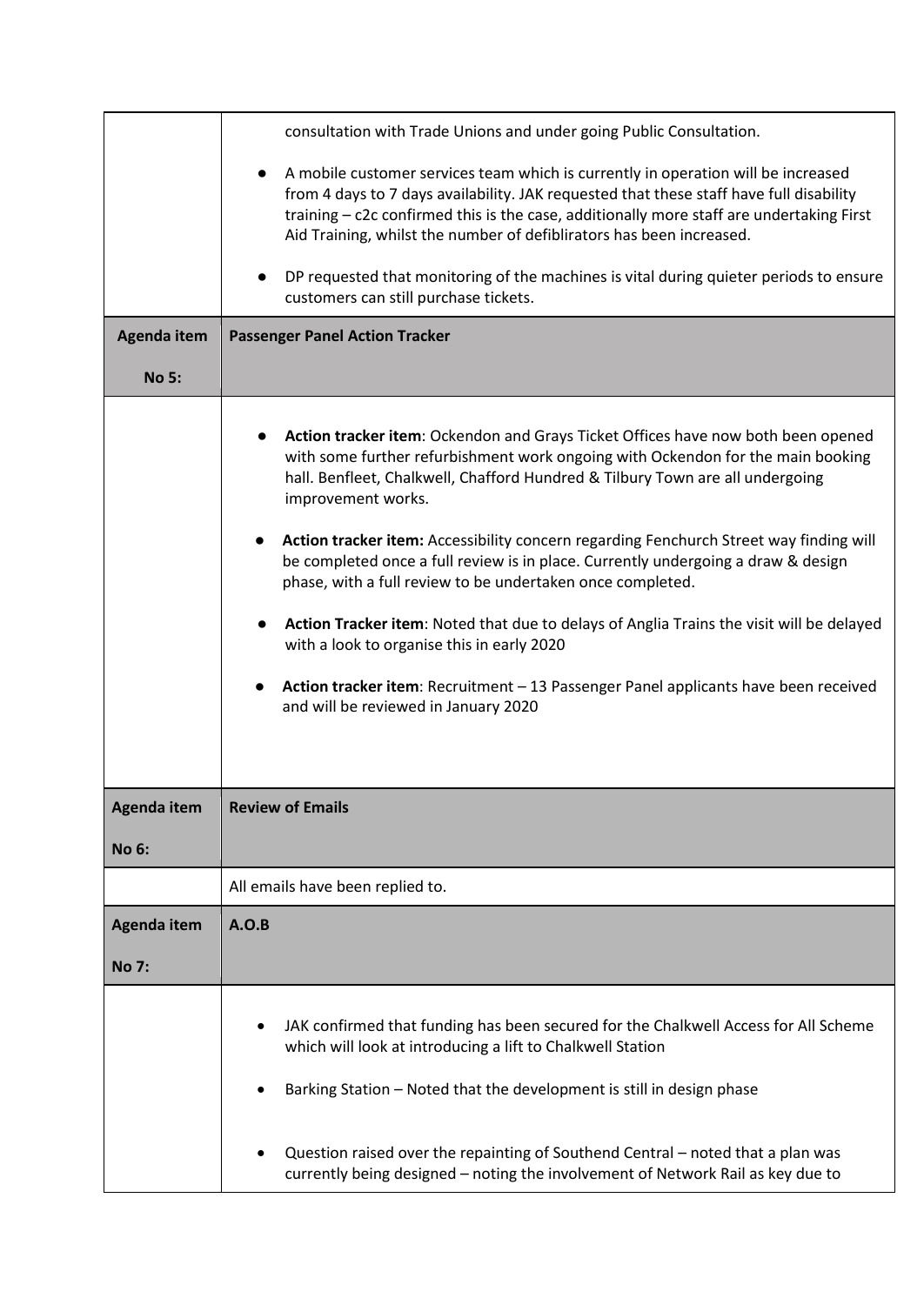|              | consultation with Trade Unions and under going Public Consultation.                                                                                                                                                                                                                                                                                                                                                                                                                                                                                                                                                                                                                                                                                                                              |
|--------------|--------------------------------------------------------------------------------------------------------------------------------------------------------------------------------------------------------------------------------------------------------------------------------------------------------------------------------------------------------------------------------------------------------------------------------------------------------------------------------------------------------------------------------------------------------------------------------------------------------------------------------------------------------------------------------------------------------------------------------------------------------------------------------------------------|
|              | A mobile customer services team which is currently in operation will be increased<br>from 4 days to 7 days availability. JAK requested that these staff have full disability<br>training - c2c confirmed this is the case, additionally more staff are undertaking First<br>Aid Training, whilst the number of defiblirators has been increased.                                                                                                                                                                                                                                                                                                                                                                                                                                                 |
|              | DP requested that monitoring of the machines is vital during quieter periods to ensure<br>customers can still purchase tickets.                                                                                                                                                                                                                                                                                                                                                                                                                                                                                                                                                                                                                                                                  |
| Agenda item  | <b>Passenger Panel Action Tracker</b>                                                                                                                                                                                                                                                                                                                                                                                                                                                                                                                                                                                                                                                                                                                                                            |
| <b>No 5:</b> |                                                                                                                                                                                                                                                                                                                                                                                                                                                                                                                                                                                                                                                                                                                                                                                                  |
|              | Action tracker item: Ockendon and Grays Ticket Offices have now both been opened<br>with some further refurbishment work ongoing with Ockendon for the main booking<br>hall. Benfleet, Chalkwell, Chafford Hundred & Tilbury Town are all undergoing<br>improvement works.<br>Action tracker item: Accessibility concern regarding Fenchurch Street way finding will<br>be completed once a full review is in place. Currently undergoing a draw & design<br>phase, with a full review to be undertaken once completed.<br>Action Tracker item: Noted that due to delays of Anglia Trains the visit will be delayed<br>with a look to organise this in early 2020<br>Action tracker item: Recruitment - 13 Passenger Panel applicants have been received<br>and will be reviewed in January 2020 |
| Agenda item  | <b>Review of Emails</b>                                                                                                                                                                                                                                                                                                                                                                                                                                                                                                                                                                                                                                                                                                                                                                          |
| <b>No 6:</b> |                                                                                                                                                                                                                                                                                                                                                                                                                                                                                                                                                                                                                                                                                                                                                                                                  |
|              | All emails have been replied to.                                                                                                                                                                                                                                                                                                                                                                                                                                                                                                                                                                                                                                                                                                                                                                 |
| Agenda item  | A.O.B                                                                                                                                                                                                                                                                                                                                                                                                                                                                                                                                                                                                                                                                                                                                                                                            |
| <b>No 7:</b> |                                                                                                                                                                                                                                                                                                                                                                                                                                                                                                                                                                                                                                                                                                                                                                                                  |
|              | JAK confirmed that funding has been secured for the Chalkwell Access for All Scheme<br>which will look at introducing a lift to Chalkwell Station<br>Barking Station - Noted that the development is still in design phase<br>Question raised over the repainting of Southend Central - noted that a plan was                                                                                                                                                                                                                                                                                                                                                                                                                                                                                    |
|              | currently being designed - noting the involvement of Network Rail as key due to                                                                                                                                                                                                                                                                                                                                                                                                                                                                                                                                                                                                                                                                                                                  |